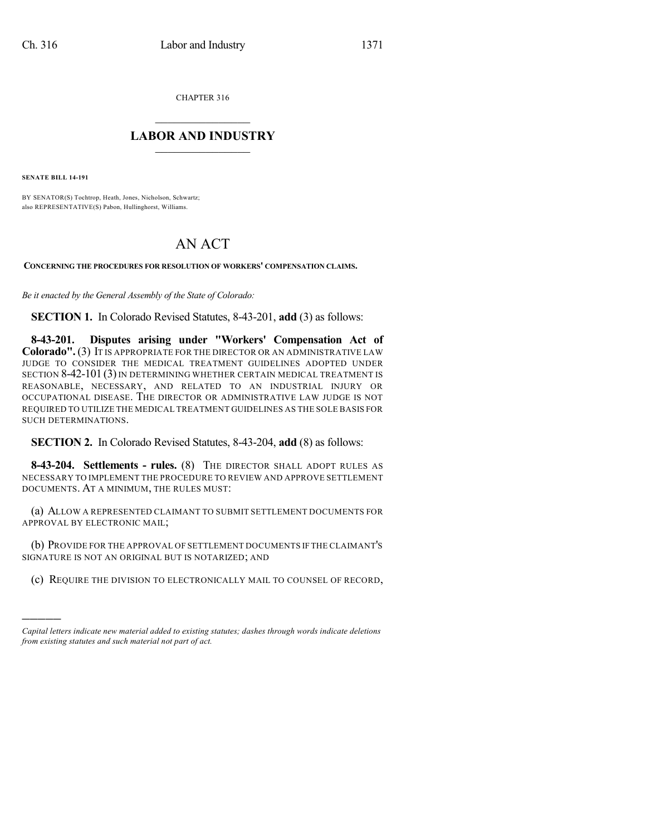CHAPTER 316

## $\mathcal{L}_\text{max}$  . The set of the set of the set of the set of the set of the set of the set of the set of the set of the set of the set of the set of the set of the set of the set of the set of the set of the set of the set **LABOR AND INDUSTRY**  $\frac{1}{\sqrt{2}}$  ,  $\frac{1}{\sqrt{2}}$  ,  $\frac{1}{\sqrt{2}}$  ,  $\frac{1}{\sqrt{2}}$  ,  $\frac{1}{\sqrt{2}}$  ,  $\frac{1}{\sqrt{2}}$

**SENATE BILL 14-191**

)))))

BY SENATOR(S) Tochtrop, Heath, Jones, Nicholson, Schwartz; also REPRESENTATIVE(S) Pabon, Hullinghorst, Williams.

## AN ACT

**CONCERNING THE PROCEDURES FOR RESOLUTION OF WORKERS' COMPENSATION CLAIMS.**

*Be it enacted by the General Assembly of the State of Colorado:*

**SECTION 1.** In Colorado Revised Statutes, 8-43-201, **add** (3) as follows:

**8-43-201. Disputes arising under "Workers' Compensation Act of Colorado".**(3) IT IS APPROPRIATE FOR THE DIRECTOR OR AN ADMINISTRATIVE LAW JUDGE TO CONSIDER THE MEDICAL TREATMENT GUIDELINES ADOPTED UNDER SECTION 8-42-101 (3) IN DETERMINING WHETHER CERTAIN MEDICAL TREATMENT IS REASONABLE, NECESSARY, AND RELATED TO AN INDUSTRIAL INJURY OR OCCUPATIONAL DISEASE. THE DIRECTOR OR ADMINISTRATIVE LAW JUDGE IS NOT REQUIRED TO UTILIZE THE MEDICAL TREATMENT GUIDELINES AS THE SOLE BASIS FOR SUCH DETERMINATIONS.

## **SECTION 2.** In Colorado Revised Statutes, 8-43-204, **add** (8) as follows:

**8-43-204. Settlements - rules.** (8) THE DIRECTOR SHALL ADOPT RULES AS NECESSARY TO IMPLEMENT THE PROCEDURE TO REVIEW AND APPROVE SETTLEMENT DOCUMENTS. AT A MINIMUM, THE RULES MUST:

(a) ALLOW A REPRESENTED CLAIMANT TO SUBMIT SETTLEMENT DOCUMENTS FOR APPROVAL BY ELECTRONIC MAIL;

(b) PROVIDE FOR THE APPROVAL OF SETTLEMENT DOCUMENTS IF THE CLAIMANT'S SIGNATURE IS NOT AN ORIGINAL BUT IS NOTARIZED; AND

(c) REQUIRE THE DIVISION TO ELECTRONICALLY MAIL TO COUNSEL OF RECORD,

*Capital letters indicate new material added to existing statutes; dashes through words indicate deletions from existing statutes and such material not part of act.*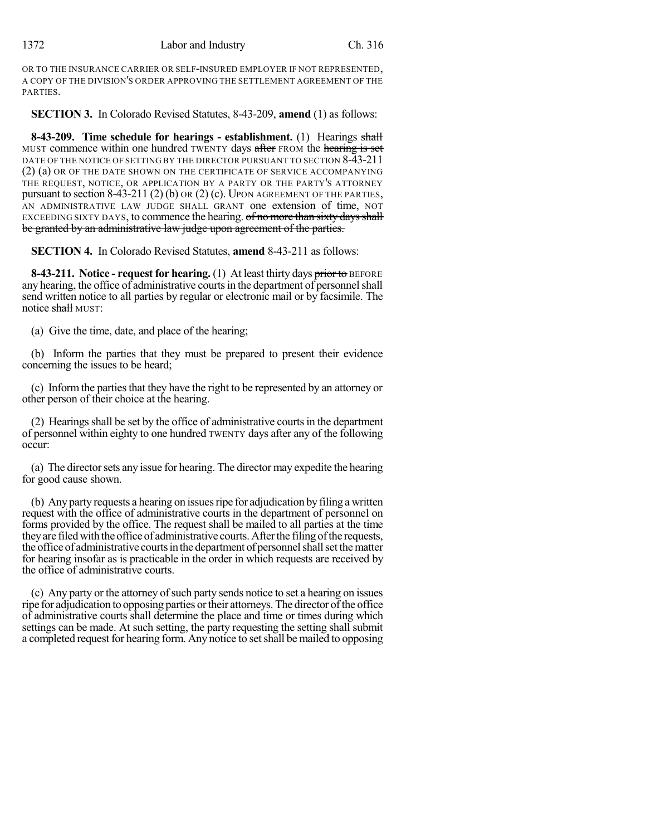OR TO THE INSURANCE CARRIER OR SELF-INSURED EMPLOYER IF NOT REPRESENTED, A COPY OF THE DIVISION'S ORDER APPROVING THE SETTLEMENT AGREEMENT OF THE PARTIES.

**SECTION 3.** In Colorado Revised Statutes, 8-43-209, **amend** (1) as follows:

**8-43-209. Time schedule for hearings - establishment.** (1) Hearings shall MUST commence within one hundred TWENTY days after FROM the hearing is set DATE OF THE NOTICE OF SETTING BY THE DIRECTOR PURSUANT TO SECTION 8-43-211 (2) (a) OR OF THE DATE SHOWN ON THE CERTIFICATE OF SERVICE ACCOMPANYING THE REQUEST, NOTICE, OR APPLICATION BY A PARTY OR THE PARTY'S ATTORNEY pursuant to section 8-43-211 (2) (b) OR (2) (c). UPON AGREEMENT OF THE PARTIES, AN ADMINISTRATIVE LAW JUDGE SHALL GRANT one extension of time, NOT EXCEEDING SIXTY DAYS, to commence the hearing. of no more than sixty days shall be granted by an administrative law judge upon agreement of the parties.

**SECTION 4.** In Colorado Revised Statutes, **amend** 8-43-211 as follows:

**8-43-211. Notice - request for hearing.** (1) At least thirty days prior to BEFORE any hearing, the office of administrative courts in the department of personnel shall send written notice to all parties by regular or electronic mail or by facsimile. The notice shall MUST:

(a) Give the time, date, and place of the hearing;

(b) Inform the parties that they must be prepared to present their evidence concerning the issues to be heard;

(c) Inform the parties that they have the right to be represented by an attorney or other person of their choice at the hearing.

(2) Hearings shall be set by the office of administrative courts in the department of personnel within eighty to one hundred TWENTY days after any of the following occur:

(a) The directorsets any issue for hearing. The director may expedite the hearing for good cause shown.

(b) Any party requests a hearing on issues ripe for adjudication by filing a written request with the office of administrative courts in the department of personnel on forms provided by the office. The request shall be mailed to all parties at the time they are filed with the office of administrative courts. After the filing of the requests, the office of administrative courts in the department of personnel shall set the matter for hearing insofar as is practicable in the order in which requests are received by the office of administrative courts.

(c) Any party or the attorney ofsuch party sends notice to set a hearing on issues ripe for adjudication to opposing parties or their attorneys. The director of the office of administrative courts shall determine the place and time or times during which settings can be made. At such setting, the party requesting the setting shall submit a completed request for hearing form. Any notice to set shall be mailed to opposing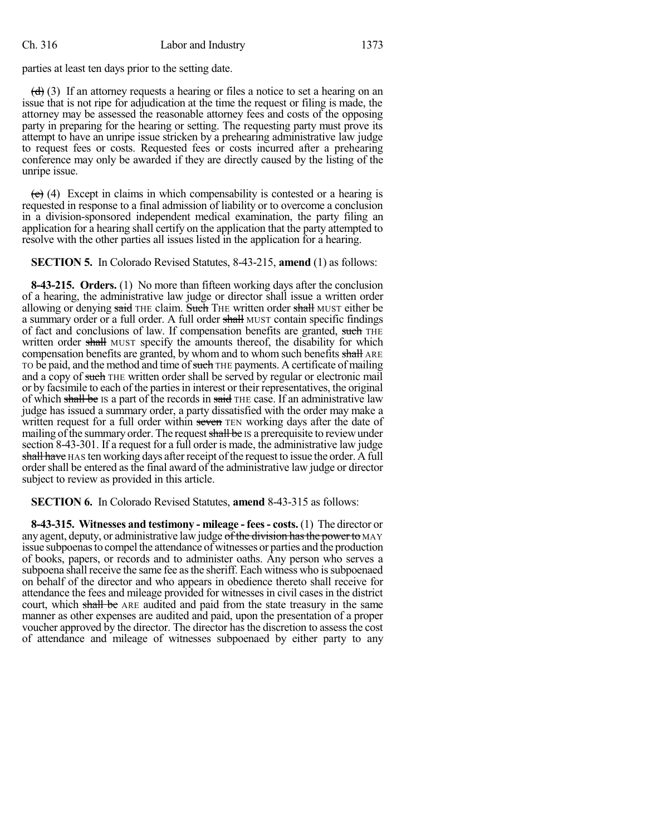parties at least ten days prior to the setting date.

 $\left(\frac{d}{d}\right)$  (3) If an attorney requests a hearing or files a notice to set a hearing on an issue that is not ripe for adjudication at the time the request or filing is made, the attorney may be assessed the reasonable attorney fees and costs of the opposing party in preparing for the hearing or setting. The requesting party must prove its attempt to have an unripe issue stricken by a prehearing administrative law judge to request fees or costs. Requested fees or costs incurred after a prehearing conference may only be awarded if they are directly caused by the listing of the unripe issue.

 $(e)$  (4) Except in claims in which compensability is contested or a hearing is requested in response to a final admission of liability or to overcome a conclusion in a division-sponsored independent medical examination, the party filing an application for a hearing shall certify on the application that the party attempted to resolve with the other parties all issues listed in the application for a hearing.

**SECTION 5.** In Colorado Revised Statutes, 8-43-215, **amend** (1) as follows:

**8-43-215. Orders.** (1) No more than fifteen working days after the conclusion of a hearing, the administrative law judge or director shall issue a written order allowing or denying said THE claim. Such THE written order shall MUST either be a summary order or a full order. A full order shall MUST contain specific findings of fact and conclusions of law. If compensation benefits are granted, such THE written order shall MUST specify the amounts thereof, the disability for which compensation benefits are granted, by whom and to whom such benefits shall ARE TO be paid, and the method and time of such THE payments. A certificate of mailing and a copy of such THE written order shall be served by regular or electronic mail or by facsimile to each of the parties in interest or their representatives, the original of which shall be IS a part of the records in said THE case. If an administrative law judge has issued a summary order, a party dissatisfied with the order may make a written request for a full order within seven TEN working days after the date of mailing of the summary order. The request shall be IS a prerequisite to review under section 8-43-301. If a request for a full order is made, the administrative law judge shall have HAS ten working days after receipt of the request to issue the order. A full order shall be entered as the final award of the administrative law judge or director subject to review as provided in this article.

**SECTION 6.** In Colorado Revised Statutes, **amend** 8-43-315 as follows:

**8-43-315. Witnesses and testimony - mileage - fees- costs.** (1) The director or any agent, deputy, or administrative law judge of the division has the power to MAY issue subpoenasto compel the attendance of witnesses or parties and the production of books, papers, or records and to administer oaths. Any person who serves a subpoena shall receive the same fee as the sheriff. Each witness who is subpoenaed on behalf of the director and who appears in obedience thereto shall receive for attendance the fees and mileage provided for witnesses in civil casesin the district court, which shall be ARE audited and paid from the state treasury in the same manner as other expenses are audited and paid, upon the presentation of a proper voucher approved by the director. The director has the discretion to assess the cost of attendance and mileage of witnesses subpoenaed by either party to any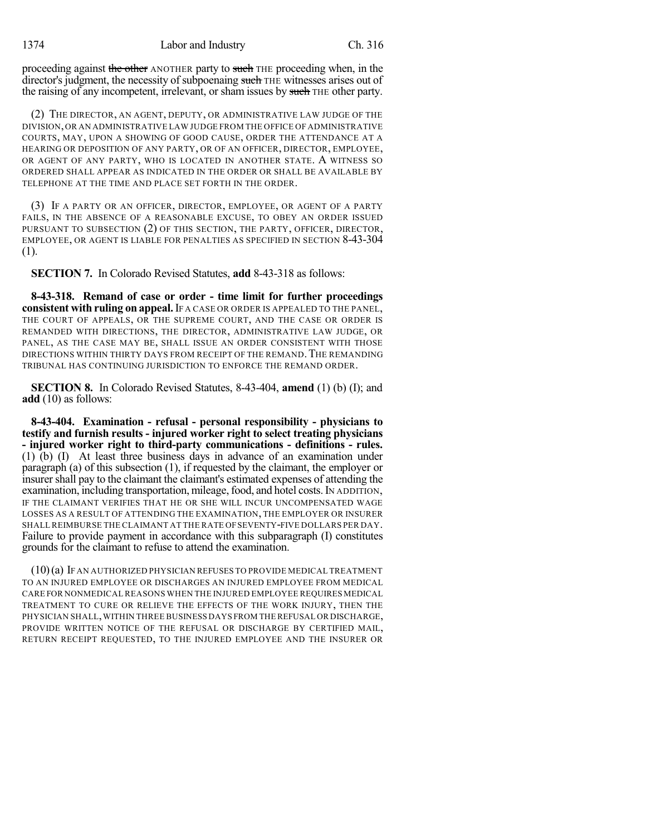proceeding against the other ANOTHER party to such THE proceeding when, in the director's judgment, the necessity of subpoenaing such THE witnesses arises out of the raising of any incompetent, irrelevant, or sham issues by such THE other party.

(2) THE DIRECTOR, AN AGENT, DEPUTY, OR ADMINISTRATIVE LAW JUDGE OF THE DIVISION,OR AN ADMINISTRATIVE LAW JUDGE FROM THE OFFICE OF ADMINISTRATIVE COURTS, MAY, UPON A SHOWING OF GOOD CAUSE, ORDER THE ATTENDANCE AT A HEARING OR DEPOSITION OF ANY PARTY, OR OF AN OFFICER, DIRECTOR, EMPLOYEE, OR AGENT OF ANY PARTY, WHO IS LOCATED IN ANOTHER STATE. A WITNESS SO ORDERED SHALL APPEAR AS INDICATED IN THE ORDER OR SHALL BE AVAILABLE BY TELEPHONE AT THE TIME AND PLACE SET FORTH IN THE ORDER.

(3) IF A PARTY OR AN OFFICER, DIRECTOR, EMPLOYEE, OR AGENT OF A PARTY FAILS, IN THE ABSENCE OF A REASONABLE EXCUSE, TO OBEY AN ORDER ISSUED PURSUANT TO SUBSECTION (2) OF THIS SECTION, THE PARTY, OFFICER, DIRECTOR, EMPLOYEE, OR AGENT IS LIABLE FOR PENALTIES AS SPECIFIED IN SECTION 8-43-304 (1).

**SECTION 7.** In Colorado Revised Statutes, **add** 8-43-318 as follows:

**8-43-318. Remand of case or order - time limit for further proceedings consistent with ruling on appeal.**IF A CASE OR ORDER IS APPEALED TO THE PANEL, THE COURT OF APPEALS, OR THE SUPREME COURT, AND THE CASE OR ORDER IS REMANDED WITH DIRECTIONS, THE DIRECTOR, ADMINISTRATIVE LAW JUDGE, OR PANEL, AS THE CASE MAY BE, SHALL ISSUE AN ORDER CONSISTENT WITH THOSE DIRECTIONS WITHIN THIRTY DAYS FROM RECEIPT OF THE REMAND.THE REMANDING TRIBUNAL HAS CONTINUING JURISDICTION TO ENFORCE THE REMAND ORDER.

**SECTION 8.** In Colorado Revised Statutes, 8-43-404, **amend** (1) (b) (I); and **add** (10) as follows:

**8-43-404. Examination - refusal - personal responsibility - physicians to testify and furnish results - injured worker right to select treating physicians - injured worker right to third-party communications - definitions - rules.** (1) (b) (I) At least three business days in advance of an examination under paragraph (a) of this subsection (1), if requested by the claimant, the employer or insurer shall pay to the claimant the claimant's estimated expenses of attending the examination, including transportation, mileage, food, and hotel costs. IN ADDITION, IF THE CLAIMANT VERIFIES THAT HE OR SHE WILL INCUR UNCOMPENSATED WAGE LOSSES AS A RESULT OF ATTENDING THE EXAMINATION, THE EMPLOYER OR INSURER SHALLREIMBURSE THE CLAIMANT AT THE RATE OFSEVENTY-FIVE DOLLARS PER DAY. Failure to provide payment in accordance with this subparagraph (I) constitutes grounds for the claimant to refuse to attend the examination.

(10)(a) IF AN AUTHORIZED PHYSICIAN REFUSES TO PROVIDE MEDICAL TREATMENT TO AN INJURED EMPLOYEE OR DISCHARGES AN INJURED EMPLOYEE FROM MEDICAL CARE FOR NONMEDICAL REASONS WHEN THE INJURED EMPLOYEE REQUIRES MEDICAL TREATMENT TO CURE OR RELIEVE THE EFFECTS OF THE WORK INJURY, THEN THE PHYSICIAN SHALL,WITHIN THREE BUSINESS DAYS FROM THE REFUSAL OR DISCHARGE, PROVIDE WRITTEN NOTICE OF THE REFUSAL OR DISCHARGE BY CERTIFIED MAIL, RETURN RECEIPT REQUESTED, TO THE INJURED EMPLOYEE AND THE INSURER OR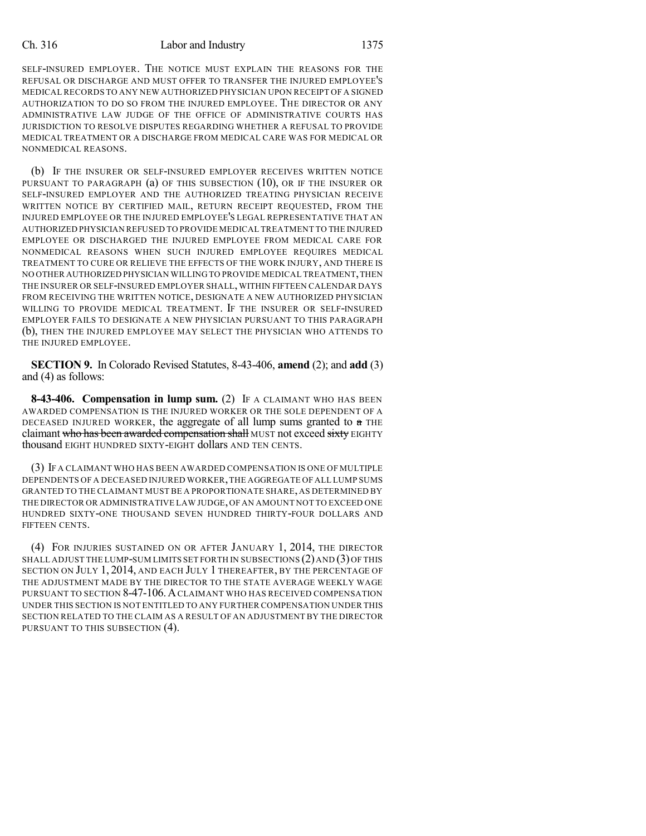## Ch. 316 Labor and Industry 1375

SELF-INSURED EMPLOYER. THE NOTICE MUST EXPLAIN THE REASONS FOR THE REFUSAL OR DISCHARGE AND MUST OFFER TO TRANSFER THE INJURED EMPLOYEE'S MEDICAL RECORDS TO ANY NEW AUTHORIZED PHYSICIAN UPON RECEIPT OF A SIGNED AUTHORIZATION TO DO SO FROM THE INJURED EMPLOYEE. THE DIRECTOR OR ANY ADMINISTRATIVE LAW JUDGE OF THE OFFICE OF ADMINISTRATIVE COURTS HAS JURISDICTION TO RESOLVE DISPUTES REGARDING WHETHER A REFUSAL TO PROVIDE MEDICAL TREATMENT OR A DISCHARGE FROM MEDICAL CARE WAS FOR MEDICAL OR NONMEDICAL REASONS.

(b) IF THE INSURER OR SELF-INSURED EMPLOYER RECEIVES WRITTEN NOTICE PURSUANT TO PARAGRAPH (a) OF THIS SUBSECTION (10), OR IF THE INSURER OR SELF-INSURED EMPLOYER AND THE AUTHORIZED TREATING PHYSICIAN RECEIVE WRITTEN NOTICE BY CERTIFIED MAIL, RETURN RECEIPT REQUESTED, FROM THE INJURED EMPLOYEE OR THE INJURED EMPLOYEE'S LEGAL REPRESENTATIVE THAT AN AUTHORIZED PHYSICIAN REFUSED TO PROVIDE MEDICAL TREATMENT TO THE INJURED EMPLOYEE OR DISCHARGED THE INJURED EMPLOYEE FROM MEDICAL CARE FOR NONMEDICAL REASONS WHEN SUCH INJURED EMPLOYEE REQUIRES MEDICAL TREATMENT TO CURE OR RELIEVE THE EFFECTS OF THE WORK INJURY, AND THERE IS NO OTHER AUTHORIZED PHYSICIAN WILLING TO PROVIDE MEDICAL TREATMENT,THEN THE INSURER OR SELF-INSURED EMPLOYER SHALL, WITHIN FIFTEEN CALENDAR DAYS FROM RECEIVING THE WRITTEN NOTICE, DESIGNATE A NEW AUTHORIZED PHYSICIAN WILLING TO PROVIDE MEDICAL TREATMENT. IF THE INSURER OR SELF-INSURED EMPLOYER FAILS TO DESIGNATE A NEW PHYSICIAN PURSUANT TO THIS PARAGRAPH (b), THEN THE INJURED EMPLOYEE MAY SELECT THE PHYSICIAN WHO ATTENDS TO THE INJURED EMPLOYEE.

**SECTION 9.** In Colorado Revised Statutes, 8-43-406, **amend** (2); and **add** (3) and (4) as follows:

**8-43-406. Compensation in lump sum.** (2) IF A CLAIMANT WHO HAS BEEN AWARDED COMPENSATION IS THE INJURED WORKER OR THE SOLE DEPENDENT OF A DECEASED INJURED WORKER, the aggregate of all lump sums granted to  $a$  THE claimant who has been awarded compensation shall MUST not exceed sixty EIGHTY thousand EIGHT HUNDRED SIXTY-EIGHT dollars AND TEN CENTS.

(3) IF A CLAIMANT WHO HAS BEEN AWARDED COMPENSATION IS ONE OF MULTIPLE DEPENDENTS OF A DECEASED INJURED WORKER,THE AGGREGATE OF ALL LUMP SUMS GRANTED TO THE CLAIMANT MUST BE A PROPORTIONATE SHARE, AS DETERMINED BY THE DIRECTOR OR ADMINISTRATIVE LAW JUDGE,OF AN AMOUNT NOT TO EXCEED ONE HUNDRED SIXTY-ONE THOUSAND SEVEN HUNDRED THIRTY-FOUR DOLLARS AND FIFTEEN CENTS.

(4) FOR INJURIES SUSTAINED ON OR AFTER JANUARY 1, 2014, THE DIRECTOR SHALL ADJUST THE LUMP-SUM LIMITS SET FORTH IN SUBSECTIONS  $(2)$  and  $(3)$  of this SECTION ON JULY 1, 2014, AND EACH JULY 1 THEREAFTER, BY THE PERCENTAGE OF THE ADJUSTMENT MADE BY THE DIRECTOR TO THE STATE AVERAGE WEEKLY WAGE PURSUANT TO SECTION 8-47-106.ACLAIMANT WHO HAS RECEIVED COMPENSATION UNDER THIS SECTION IS NOT ENTITLED TO ANY FURTHER COMPENSATION UNDER THIS SECTION RELATED TO THE CLAIM AS A RESULT OF AN ADJUSTMENT BY THE DIRECTOR PURSUANT TO THIS SUBSECTION (4).